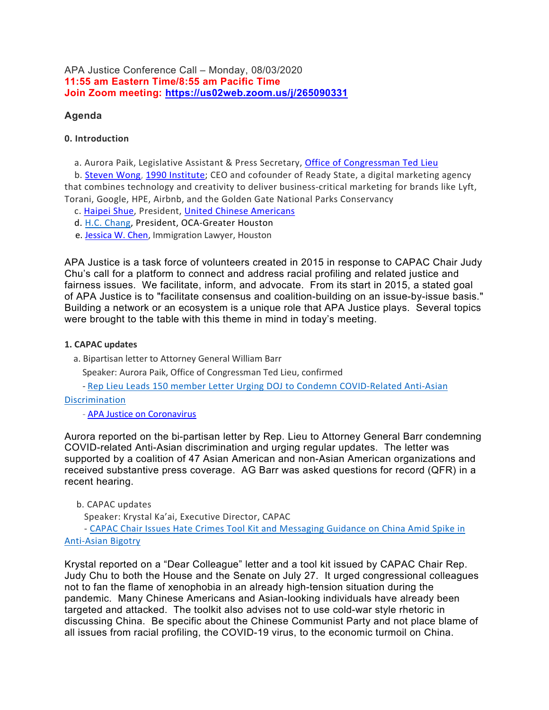APA Justice Conference Call – Monday, 08/03/2020 11:55 am Eastern Time/8:55 am Pacific Time Join Zoom meeting: https://us02web.zoom.us/j/265090331

# Agenda

# 0. Introduction

a. Aurora Paik, Legislative Assistant & Press Secretary, Office of Congressman Ted Lieu

 b. Steven Wong, 1990 Institute; CEO and cofounder of Ready State, a digital marketing agency that combines technology and creativity to deliver business-critical marketing for brands like Lyft, Torani, Google, HPE, Airbnb, and the Golden Gate National Parks Conservancy

- c. Haipei Shue, President, United Chinese Americans
- d. H.C. Chang, President, OCA-Greater Houston
- e. Jessica W. Chen, Immigration Lawyer, Houston

APA Justice is a task force of volunteers created in 2015 in response to CAPAC Chair Judy Chu's call for a platform to connect and address racial profiling and related justice and fairness issues. We facilitate, inform, and advocate. From its start in 2015, a stated goal of APA Justice is to "facilitate consensus and coalition-building on an issue-by-issue basis." Building a network or an ecosystem is a unique role that APA Justice plays. Several topics were brought to the table with this theme in mind in today's meeting.

## 1. CAPAC updates

a. Bipartisan letter to Attorney General William Barr

Speaker: Aurora Paik, Office of Congressman Ted Lieu, confirmed

- Rep Lieu Leads 150 member Letter Urging DOJ to Condemn COVID-Related Anti-Asian

## Discrimination

- APA Justice on Coronavirus

Aurora reported on the bi-partisan letter by Rep. Lieu to Attorney General Barr condemning COVID-related Anti-Asian discrimination and urging regular updates. The letter was supported by a coalition of 47 Asian American and non-Asian American organizations and received substantive press coverage. AG Barr was asked questions for record (QFR) in a recent hearing.

# b. CAPAC updates

Speaker: Krystal Ka'ai, Executive Director, CAPAC

 - CAPAC Chair Issues Hate Crimes Tool Kit and Messaging Guidance on China Amid Spike in Anti-Asian Bigotry

Krystal reported on a "Dear Colleague" letter and a tool kit issued by CAPAC Chair Rep. Judy Chu to both the House and the Senate on July 27. It urged congressional colleagues not to fan the flame of xenophobia in an already high-tension situation during the pandemic. Many Chinese Americans and Asian-looking individuals have already been targeted and attacked. The toolkit also advises not to use cold-war style rhetoric in discussing China. Be specific about the Chinese Communist Party and not place blame of all issues from racial profiling, the COVID-19 virus, to the economic turmoil on China.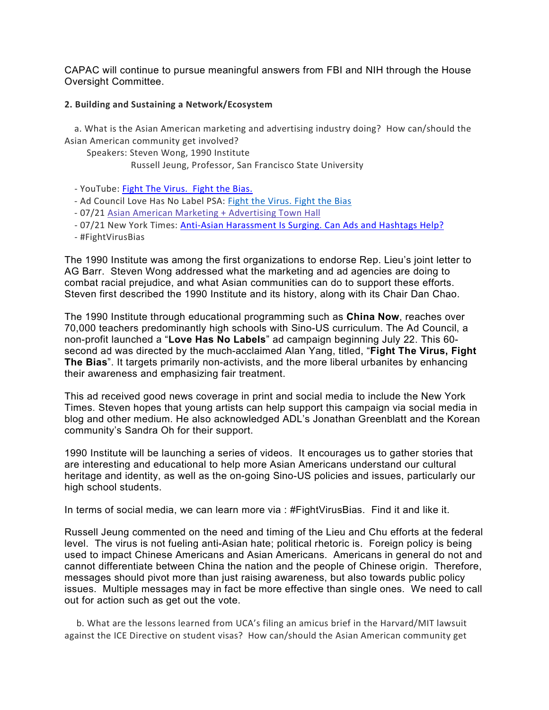CAPAC will continue to pursue meaningful answers from FBI and NIH through the House Oversight Committee.

## 2. Building and Sustaining a Network/Ecosystem

 a. What is the Asian American marketing and advertising industry doing? How can/should the Asian American community get involved?

Speakers: Steven Wong, 1990 Institute

Russell Jeung, Professor, San Francisco State University

- YouTube: Fight The Virus. Fight the Bias.
- Ad Council Love Has No Label PSA: Fight the Virus. Fight the Bias
- 07/21 Asian American Marketing + Advertising Town Hall
- 07/21 New York Times: Anti-Asian Harassment Is Surging. Can Ads and Hashtags Help?
- #FightVirusBias

The 1990 Institute was among the first organizations to endorse Rep. Lieu's joint letter to AG Barr. Steven Wong addressed what the marketing and ad agencies are doing to combat racial prejudice, and what Asian communities can do to support these efforts. Steven first described the 1990 Institute and its history, along with its Chair Dan Chao.

The 1990 Institute through educational programming such as China Now, reaches over 70,000 teachers predominantly high schools with Sino-US curriculum. The Ad Council, a non-profit launched a "Love Has No Labels" ad campaign beginning July 22. This 60 second ad was directed by the much-acclaimed Alan Yang, titled, "Fight The Virus, Fight The Bias". It targets primarily non-activists, and the more liberal urbanites by enhancing their awareness and emphasizing fair treatment.

This ad received good news coverage in print and social media to include the New York Times. Steven hopes that young artists can help support this campaign via social media in blog and other medium. He also acknowledged ADL's Jonathan Greenblatt and the Korean community's Sandra Oh for their support.

1990 Institute will be launching a series of videos. It encourages us to gather stories that are interesting and educational to help more Asian Americans understand our cultural heritage and identity, as well as the on-going Sino-US policies and issues, particularly our high school students.

In terms of social media, we can learn more via : #FightVirusBias. Find it and like it.

Russell Jeung commented on the need and timing of the Lieu and Chu efforts at the federal level. The virus is not fueling anti-Asian hate; political rhetoric is. Foreign policy is being used to impact Chinese Americans and Asian Americans. Americans in general do not and cannot differentiate between China the nation and the people of Chinese origin. Therefore, messages should pivot more than just raising awareness, but also towards public policy issues. Multiple messages may in fact be more effective than single ones. We need to call out for action such as get out the vote.

 b. What are the lessons learned from UCA's filing an amicus brief in the Harvard/MIT lawsuit against the ICE Directive on student visas? How can/should the Asian American community get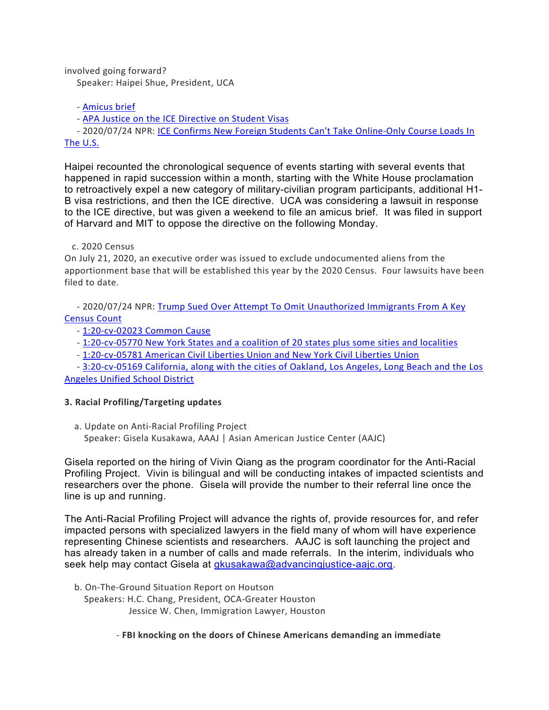involved going forward?

Speaker: Haipei Shue, President, UCA

- Amicus brief

- APA Justice on the ICE Directive on Student Visas

 - 2020/07/24 NPR: ICE Confirms New Foreign Students Can't Take Online-Only Course Loads In The U.S.

Haipei recounted the chronological sequence of events starting with several events that happened in rapid succession within a month, starting with the White House proclamation to retroactively expel a new category of military-civilian program participants, additional H1- B visa restrictions, and then the ICE directive. UCA was considering a lawsuit in response to the ICE directive, but was given a weekend to file an amicus brief. It was filed in support of Harvard and MIT to oppose the directive on the following Monday.

## c. 2020 Census

On July 21, 2020, an executive order was issued to exclude undocumented aliens from the apportionment base that will be established this year by the 2020 Census. Four lawsuits have been filed to date.

 - 2020/07/24 NPR: Trump Sued Over Attempt To Omit Unauthorized Immigrants From A Key Census Count

- 1:20-cv-02023 Common Cause
- 1:20-cv-05770 New York States and a coalition of 20 states plus some sities and localities

- 1:20-cv-05781 American Civil Liberties Union and New York Civil Liberties Union

 - 3:20-cv-05169 California, along with the cities of Oakland, Los Angeles, Long Beach and the Los Angeles Unified School District

# 3. Racial Profiling/Targeting updates

 a. Update on Anti-Racial Profiling Project Speaker: Gisela Kusakawa, AAAJ | Asian American Justice Center (AAJC)

Gisela reported on the hiring of Vivin Qiang as the program coordinator for the Anti-Racial Profiling Project. Vivin is bilingual and will be conducting intakes of impacted scientists and researchers over the phone. Gisela will provide the number to their referral line once the line is up and running.

The Anti-Racial Profiling Project will advance the rights of, provide resources for, and refer impacted persons with specialized lawyers in the field many of whom will have experience representing Chinese scientists and researchers. AAJC is soft launching the project and has already taken in a number of calls and made referrals. In the interim, individuals who seek help may contact Gisela at gkusakawa@advancingjustice-aajc.org.

b. On-The-Ground Situation Report on Houtson

 Speakers: H.C. Chang, President, OCA-Greater Houston Jessice W. Chen, Immigration Lawyer, Houston

- FBI knocking on the doors of Chinese Americans demanding an immediate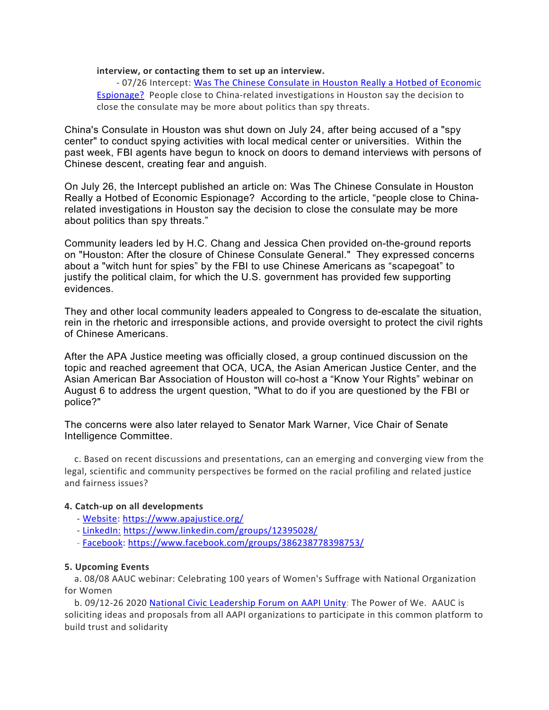#### interview, or contacting them to set up an interview.

 - 07/26 Intercept: Was The Chinese Consulate in Houston Really a Hotbed of Economic Espionage? People close to China-related investigations in Houston say the decision to close the consulate may be more about politics than spy threats.

China's Consulate in Houston was shut down on July 24, after being accused of a "spy center" to conduct spying activities with local medical center or universities. Within the past week, FBI agents have begun to knock on doors to demand interviews with persons of Chinese descent, creating fear and anguish.

On July 26, the Intercept published an article on: Was The Chinese Consulate in Houston Really a Hotbed of Economic Espionage? According to the article, "people close to Chinarelated investigations in Houston say the decision to close the consulate may be more about politics than spy threats."

Community leaders led by H.C. Chang and Jessica Chen provided on-the-ground reports on "Houston: After the closure of Chinese Consulate General." They expressed concerns about a "witch hunt for spies" by the FBI to use Chinese Americans as "scapegoat" to justify the political claim, for which the U.S. government has provided few supporting evidences.

They and other local community leaders appealed to Congress to de-escalate the situation, rein in the rhetoric and irresponsible actions, and provide oversight to protect the civil rights of Chinese Americans.

After the APA Justice meeting was officially closed, a group continued discussion on the topic and reached agreement that OCA, UCA, the Asian American Justice Center, and the Asian American Bar Association of Houston will co-host a "Know Your Rights" webinar on August 6 to address the urgent question, "What to do if you are questioned by the FBI or police?"

The concerns were also later relayed to Senator Mark Warner, Vice Chair of Senate Intelligence Committee.

 c. Based on recent discussions and presentations, can an emerging and converging view from the legal, scientific and community perspectives be formed on the racial profiling and related justice and fairness issues?

## 4. Catch-up on all developments

- Website: https://www.apajustice.org/
- LinkedIn: https://www.linkedin.com/groups/12395028/
- Facebook: https://www.facebook.com/groups/386238778398753/

#### 5. Upcoming Events

 a. 08/08 AAUC webinar: Celebrating 100 years of Women's Suffrage with National Organization for Women

 b. 09/12-26 2020 National Civic Leadership Forum on AAPI Unity: The Power of We. AAUC is soliciting ideas and proposals from all AAPI organizations to participate in this common platform to build trust and solidarity